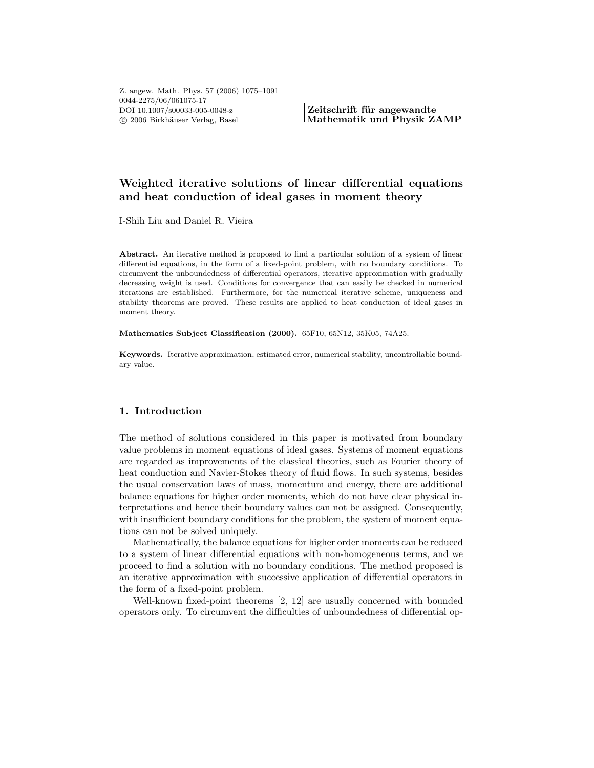**Zeitschrift für angewandte Mathematik und Physik ZAMP**

# **Weighted iterative solutions of linear differential equations and heat conduction of ideal gases in moment theory**

I-Shih Liu and Daniel R. Vieira

Abstract. An iterative method is proposed to find a particular solution of a system of linear differential equations, in the form of a fixed-point problem, with no boundary conditions. To circumvent the unboundedness of differential operators, iterative approximation with gradually decreasing weight is used. Conditions for convergence that can easily be checked in numerical iterations are established. Furthermore, for the numerical iterative scheme, uniqueness and stability theorems are proved. These results are applied to heat conduction of ideal gases in moment theory.

**Mathematics Subject Classification (2000).** 65F10, 65N12, 35K05, 74A25.

**Keywords.** Iterative approximation, estimated error, numerical stability, uncontrollable boundary value.

# **1. Introduction**

The method of solutions considered in this paper is motivated from boundary value problems in moment equations of ideal gases. Systems of moment equations are regarded as improvements of the classical theories, such as Fourier theory of heat conduction and Navier-Stokes theory of fluid flows. In such systems, besides the usual conservation laws of mass, momentum and energy, there are additional balance equations for higher order moments, which do not have clear physical interpretations and hence their boundary values can not be assigned. Consequently, with insufficient boundary conditions for the problem, the system of moment equations can not be solved uniquely.

Mathematically, the balance equations for higher order moments can be reduced to a system of linear differential equations with non-homogeneous terms, and we proceed to find a solution with no boundary conditions. The method proposed is an iterative approximation with successive application of differential operators in the form of a fixed-point problem.

Well-known fixed-point theorems [2, 12] are usually concerned with bounded operators only. To circumvent the difficulties of unboundedness of differential op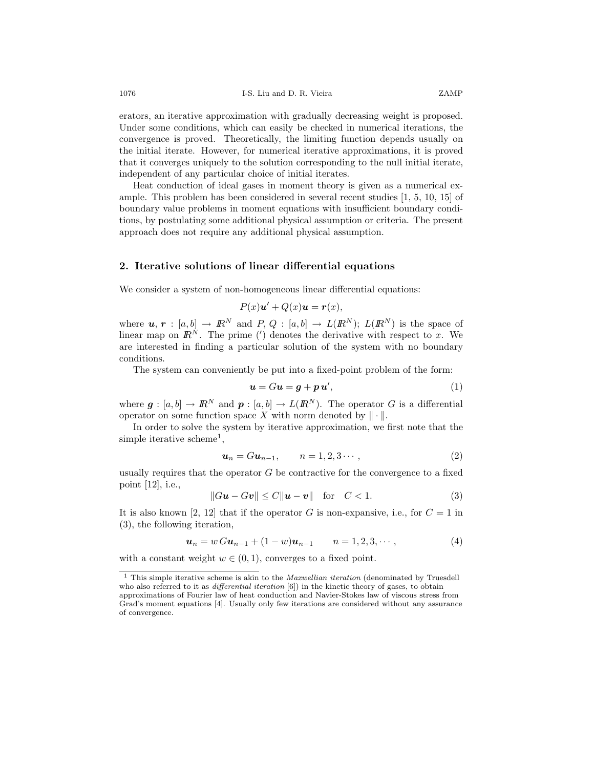erators, an iterative approximation with gradually decreasing weight is proposed. Under some conditions, which can easily be checked in numerical iterations, the convergence is proved. Theoretically, the limiting function depends usually on the initial iterate. However, for numerical iterative approximations, it is proved that it converges uniquely to the solution corresponding to the null initial iterate, independent of any particular choice of initial iterates.

Heat conduction of ideal gases in moment theory is given as a numerical example. This problem has been considered in several recent studies [1, 5, 10, 15] of boundary value problems in moment equations with insufficient boundary conditions, by postulating some additional physical assumption or criteria. The present approach does not require any additional physical assumption.

# **2. Iterative solutions of linear differential equations**

We consider a system of non-homogeneous linear differential equations:

$$
P(x)\mathbf{u}' + Q(x)\mathbf{u} = \mathbf{r}(x),
$$

where  $u, r : [a, b] \to \mathbb{R}^N$  and  $P, Q : [a, b] \to L(\mathbb{R}^N)$ ;  $L(\mathbb{R}^N)$  is the space of linear map on  $\mathbb{R}^N$ . The prime (') denotes the derivative with respect to x. We are interested in finding a particular solution of the system with no boundary conditions.

The system can conveniently be put into a fixed-point problem of the form:

$$
u = Gu = g + p u', \tag{1}
$$

where  $g : [a, b] \to \mathbb{R}^N$  and  $p : [a, b] \to L(\mathbb{R}^N)$ . The operator G is a differential operator on some function space X with norm denoted by  $\|\cdot\|$ operator on some function space  $X$  with norm denoted by  $\|\cdot\|$ .

In order to solve the system by iterative approximation, we first note that the simple iterative scheme<sup>1</sup>,

$$
\mathbf{u}_n = G \mathbf{u}_{n-1}, \qquad n = 1, 2, 3 \cdots, \tag{2}
$$

usually requires that the operator  $G$  be contractive for the convergence to a fixed point [12], i.e.,

$$
||Gu - Gv|| \le C||u - v|| \quad \text{for} \quad C < 1. \tag{3}
$$

It is also known [2, 12] that if the operator G is non-expansive, i.e., for  $C = 1$  in (3), the following iteration,

$$
\mathbf{u}_n = w \, G \mathbf{u}_{n-1} + (1-w) \mathbf{u}_{n-1} \qquad n = 1, 2, 3, \cdots,
$$
 (4)

with a constant weight  $w \in (0, 1)$ , converges to a fixed point.

 $^{\rm 1}$  This simple iterative scheme is akin to the *Maxwellian iteration* (denominated by Truesdell who also referred to it as *differential iteration* [6]) in the kinetic theory of gases, to obtain

approximations of Fourier law of heat conduction and Navier-Stokes law of viscous stress from Grad's moment equations [4]. Usually only few iterations are considered without any assurance of convergence.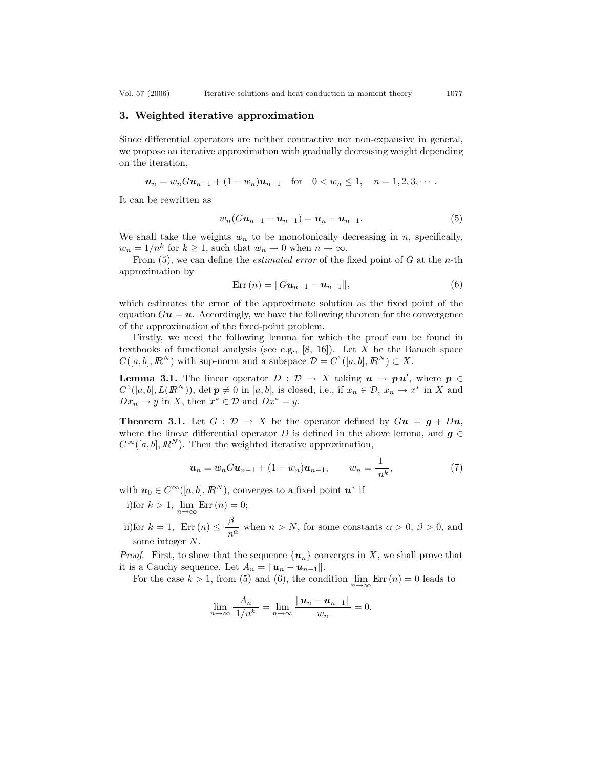Vol. 57 (2006) Iterative solutions and heat conduction in moment theory 1077

# **3. Weighted iterative approximation**

Since differential operators are neither contractive nor non-expansive in general, we propose an iterative approximation with gradually decreasing weight depending on the iteration,

$$
u_n = w_n Gu_{n-1} + (1 - w_n)u_{n-1} \text{ for } 0 < w_n \le 1, n = 1, 2, 3, \cdots.
$$

It can be rewritten as

$$
w_n(G\mathbf{u}_{n-1}-\mathbf{u}_{n-1})=\mathbf{u}_n-\mathbf{u}_{n-1}.
$$
\n(5)

We shall take the weights  $w_n$  to be monotonically decreasing in n, specifically,  $w_n = 1/n^k$  for  $k \ge 1$ , such that  $w_n \to 0$  when  $n \to \infty$ .

From (5), we can define the *estimated error* of the fixed point of G at the n-th approximation by

$$
Err(n) = ||Gu_{n-1} - u_{n-1}||,
$$
\n(6)

which estimates the error of the approximate solution as the fixed point of the equation  $Gu = u$ . Accordingly, we have the following theorem for the convergence of the approximation of the fixed-point problem.

Firstly, we need the following lemma for which the proof can be found in textbooks of functional analysis (see e.g.,  $[8, 16]$ ). Let X be the Banach space  $C([a, b], \mathbb{R}^N)$  with sup-norm and a subspace  $\mathcal{D} = C^1([a, b], \mathbb{R}^N) \subset X$ .

**Lemma 3.1.** The linear operator  $D : \mathcal{D} \to X$  taking  $u \mapsto pu'$ , where  $p \in C^1([a, b], L(\mathbb{R}^N))$  det  $p \neq 0$  in [a b] is closed i.e. if  $x \in \mathcal{D}$ ,  $x \mapsto x^*$  in X and  $C^1([a, b], L(R^N))$ , det  $p \neq 0$  in [a, b], is closed, i.e., if  $x_n \in \mathcal{D}$ ,  $x_n \to x^*$  in X and  $Dx_n \to y$  in X, then  $x^* \in \mathcal{D}$  and  $Dx^* = y$ .

**Theorem 3.1.** Let  $G : \mathcal{D} \to X$  be the operator defined by  $Gu = g + Du$ , where the linear differential operator D is defined in the above lemma, and  $g \in$  $C^{\infty}([a, b], \mathbb{R}^{N})$ . Then the weighted iterative approximation,

$$
\mathbf{u}_n = w_n G \mathbf{u}_{n-1} + (1 - w_n) \mathbf{u}_{n-1}, \qquad w_n = \frac{1}{n^k}, \tag{7}
$$

with  $u_0 \in C^{\infty}([a, b], \mathbb{R}^N)$ , converges to a fixed point  $u^*$  if

- i)for  $k > 1$ ,  $\lim_{n \to \infty} \text{Err}(n) = 0$ ;
- ii)for  $k = 1$ ,  $\text{Err}(n) \leq \frac{\beta}{n^{\alpha}}$  when  $n > N$ , for some constants  $\alpha > 0$ ,  $\beta > 0$ , and some integer N.

*Proof.* First, to show that the sequence  $\{u_n\}$  converges in X, we shall prove that it is a Cauchy sequence. Let  $A_n = ||\boldsymbol{u}_n - \boldsymbol{u}_{n-1}||$ .

For the case  $k > 1$ , from (5) and (6), the condition  $\lim_{n \to \infty} \text{Err}(n) = 0$  leads to

$$
\lim_{n\to\infty}\frac{A_n}{1/n^k}=\lim_{n\to\infty}\frac{\|u_n-u_{n-1}\|}{w_n}=0.
$$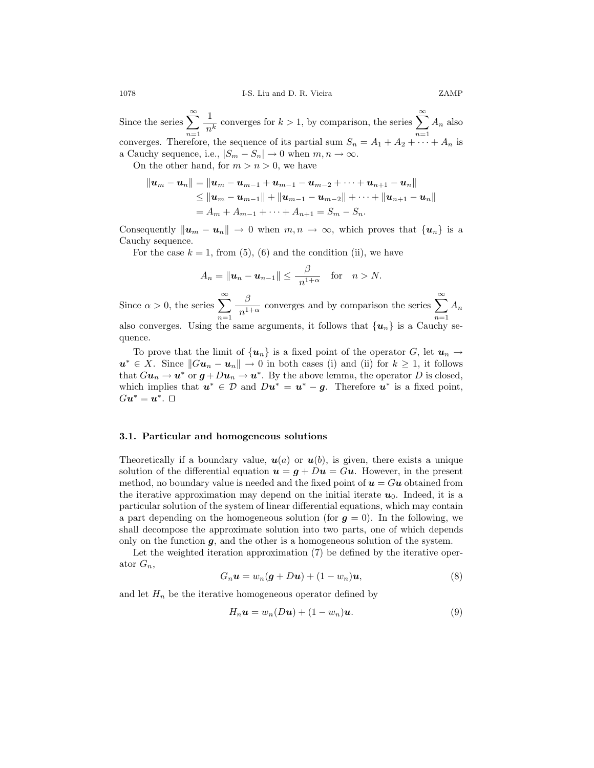Since the series  $\sum_{n=1}^{\infty}$  $n=1$  $\frac{1}{n^k}$  converges for  $k > 1$ , by comparison, the series  $\sum_{n=1}^{\infty}$  $A_n$  also converges. Therefore, the sequence of its partial sum  $S_n = A_1 + A_2 + \cdots + A_n$  is a Cauchy sequence, i.e.,  $|S_m - S_n| \to 0$  when  $m, n \to \infty$ .

On the other hand, for  $m>n>0$ , we have

$$
||u_m - u_n|| = ||u_m - u_{m-1} + u_{m-1} - u_{m-2} + \cdots + u_{n+1} - u_n||
$$
  
\n
$$
\leq ||u_m - u_{m-1}|| + ||u_{m-1} - u_{m-2}|| + \cdots + ||u_{n+1} - u_n||
$$
  
\n
$$
= A_m + A_{m-1} + \cdots + A_{n+1} = S_m - S_n.
$$

Consequently  $\|\mathbf{u}_m - \mathbf{u}_n\| \to 0$  when  $m, n \to \infty$ , which proves that  $\{\mathbf{u}_n\}$  is a Cauchy sequence.

For the case  $k = 1$ , from (5), (6) and the condition (ii), we have

$$
A_n = \|\boldsymbol{u}_n - \boldsymbol{u}_{n-1}\| \leq \frac{\beta}{n^{1+\alpha}} \quad \text{for} \quad n > N.
$$

Since  $\alpha > 0$ , the series  $\sum_{n=1}^{\infty}$  $n=1$  $\frac{\beta}{n^{1+\alpha}}$  converges and by comparison the series  $\sum_{n=1}^{\infty}$  $A_n$ also converges. Using the same arguments, it follows that  $\{u_n\}$  is a Cauchy sequence.

To prove that the limit of  $\{u_n\}$  is a fixed point of the operator G, let  $u_n \to$  $u^* \in X$ . Since  $||Gu_n - u_n|| \to 0$  in both cases (i) and (ii) for  $k \geq 1$ , it follows that  $Gu_n \to u^*$  or  $g + Du_n \to u^*$ . By the above lemma, the operator D is closed, which implies that  $u^* \in \mathcal{D}$  and  $Du^* = u^* - g$ . Therefore  $u^*$  is a fixed point,  $Gu^* = \boldsymbol{u}^*. \square$ 

#### **3.1. Particular and homogeneous solutions**

Theoretically if a boundary value,  $u(a)$  or  $u(b)$ , is given, there exists a unique solution of the differential equation  $u = g + Du = Gu$ . However, in the present method, no boundary value is needed and the fixed point of  $u = Gu$  obtained from the iterative approximation may depend on the initial iterate  $u_0$ . Indeed, it is a particular solution of the system of linear differential equations, which may contain a part depending on the homogeneous solution (for  $g = 0$ ). In the following, we shall decompose the approximate solution into two parts, one of which depends only on the function  $g$ , and the other is a homogeneous solution of the system.

Let the weighted iteration approximation (7) be defined by the iterative operator  $G_n$ ,

$$
G_n\mathbf{u} = w_n(\mathbf{g} + D\mathbf{u}) + (1 - w_n)\mathbf{u},\tag{8}
$$

and let  $H_n$  be the iterative homogeneous operator defined by

$$
H_n \mathbf{u} = w_n(D\mathbf{u}) + (1 - w_n)\mathbf{u}.
$$
 (9)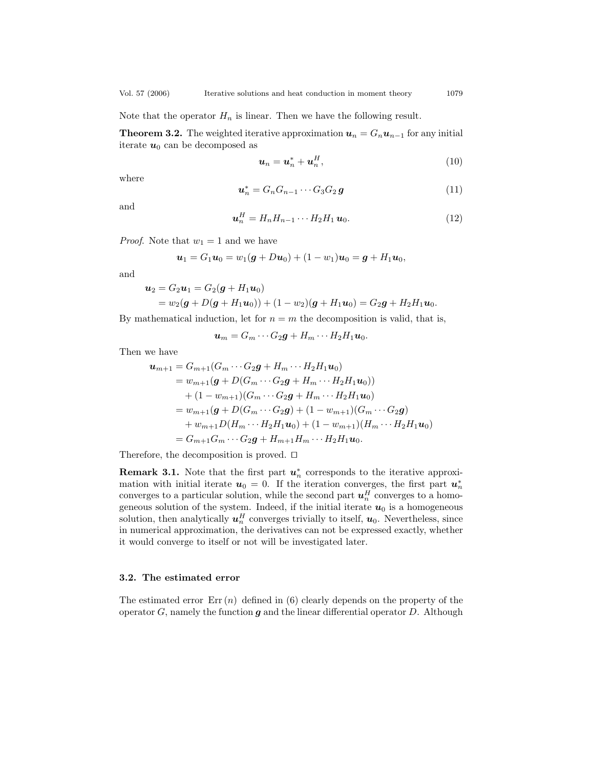Note that the operator  $H_n$  is linear. Then we have the following result.

**Theorem 3.2.** The weighted iterative approximation  $u_n = G_n u_{n-1}$  for any initial iterate  $u_0$  can be decomposed as

$$
\boldsymbol{u}_n = \boldsymbol{u}_n^* + \boldsymbol{u}_n^H,\tag{10}
$$

where

$$
\boldsymbol{u}_n^* = G_n G_{n-1} \cdots G_3 G_2 \boldsymbol{g} \tag{11}
$$

and

$$
\boldsymbol{u}_n^H = H_n H_{n-1} \cdots H_2 H_1 \, \boldsymbol{u}_0. \tag{12}
$$

*Proof.* Note that  $w_1 = 1$  and we have

$$
u_1 = G_1 u_0 = w_1(g + Du_0) + (1 - w_1)u_0 = g + H_1 u_0,
$$

and

$$
\mathbf{u}_2 = G_2 \mathbf{u}_1 = G_2 (\mathbf{g} + H_1 \mathbf{u}_0)
$$
  
=  $w_2 (\mathbf{g} + D(\mathbf{g} + H_1 \mathbf{u}_0)) + (1 - w_2)(\mathbf{g} + H_1 \mathbf{u}_0) = G_2 \mathbf{g} + H_2 H_1 \mathbf{u}_0.$ 

By mathematical induction, let for  $n = m$  the decomposition is valid, that is,

$$
\boldsymbol{u}_m = G_m \cdots G_2 \boldsymbol{g} + H_m \cdots H_2 H_1 \boldsymbol{u}_0.
$$

Then we have

$$
\begin{aligned}\n\mathbf{u}_{m+1} &= G_{m+1}(G_m \cdots G_2 \mathbf{g} + H_m \cdots H_2 H_1 \mathbf{u}_0) \\
&= w_{m+1}(\mathbf{g} + D(G_m \cdots G_2 \mathbf{g} + H_m \cdots H_2 H_1 \mathbf{u}_0)) \\
&\quad + (1 - w_{m+1})(G_m \cdots G_2 \mathbf{g} + H_m \cdots H_2 H_1 \mathbf{u}_0) \\
&= w_{m+1}(\mathbf{g} + D(G_m \cdots G_2 \mathbf{g}) + (1 - w_{m+1})(G_m \cdots G_2 \mathbf{g}) \\
&\quad + w_{m+1}D(H_m \cdots H_2 H_1 \mathbf{u}_0) + (1 - w_{m+1})(H_m \cdots H_2 H_1 \mathbf{u}_0) \\
&= G_{m+1}G_m \cdots G_2 \mathbf{g} + H_{m+1}H_m \cdots H_2 H_1 \mathbf{u}_0.\n\end{aligned}
$$

Therefore, the decomposition is proved.  $\square$ 

**Remark 3.1.** Note that the first part  $u^*_{n}$  corresponds to the iterative approximation with initial iterate  $u_0 = 0$ . If the iteration converges the first part  $u^*$ mation with initial iterate  $u_0 = 0$ . If the iteration converges, the first part  $u_n^*$ <br>converges to a particular solution while the second part  $u^H$  converges to a homoconverges to a particular solution, while the second part  $u_n^H$  converges to a homo-<br>geneous solution of the system. Indeed, if the initial iterate  $u_0$  is a homogeneous geneous solution of the system. Indeed, if the initial iterate  $u_0$  is a homogeneous solution, then analytically  $u_n^H$  converges trivially to itself,  $u_0$ . Nevertheless, since<br>in numerical approximation, the derivatives can not be expressed exactly, whether in numerical approximation, the derivatives can not be expressed exactly, whether it would converge to itself or not will be investigated later.

## **3.2. The estimated error**

The estimated error  $Err(n)$  defined in (6) clearly depends on the property of the operator  $G$ , namely the function  $g$  and the linear differential operator  $D$ . Although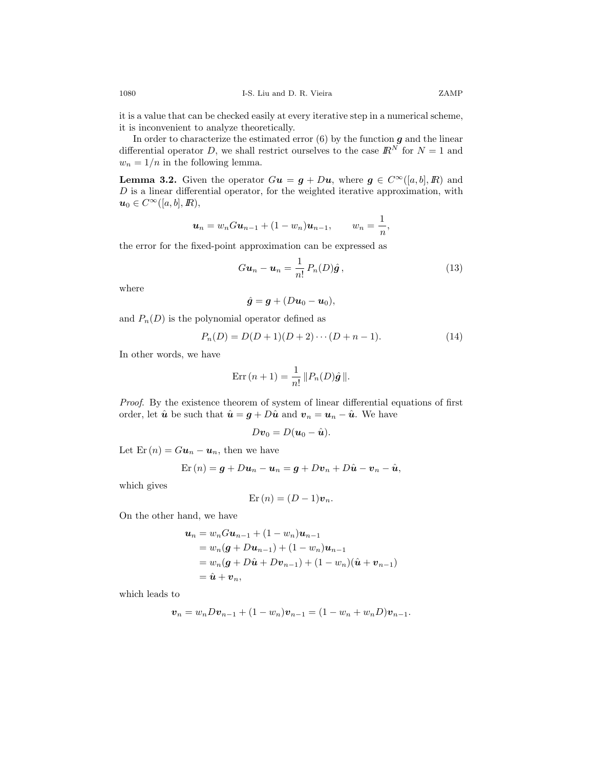it is a value that can be checked easily at every iterative step in a numerical scheme, it is inconvenient to analyze theoretically.

In order to characterize the estimated error (6) by the function *g* and the linear differential operator *D*, we shall restrict ourselves to the case  $\mathbb{R}^N$  for  $N = 1$  and  $w_n = 1/n$  in the following lemma.

**Lemma 3.2.** Given the operator  $Gu = g + Du$ , where  $g \in C^{\infty}([a, b], R)$  and  $D$  is a linear differential operator, for the weighted iterative approximation, with  $u_0 \in C^{\infty}([a, b], I\!\!R),$ 

$$
\mathbf{u}_n = w_n G \mathbf{u}_{n-1} + (1 - w_n) \mathbf{u}_{n-1}, \qquad w_n = \frac{1}{n},
$$

the error for the fixed-point approximation can be expressed as

$$
Gu_n - \boldsymbol{u}_n = \frac{1}{n!} P_n(D)\hat{\boldsymbol{g}}\,,\tag{13}
$$

where

$$
\hat{\boldsymbol{g}} = \boldsymbol{g} + (D\boldsymbol{u}_0 - \boldsymbol{u}_0),
$$

and  $P_n(D)$  is the polynomial operator defined as

$$
P_n(D) = D(D+1)(D+2)\cdots(D+n-1). \tag{14}
$$

In other words, we have

$$
Err(n+1) = \frac{1}{n!} ||P_n(D)\hat{\mathbf{g}}||.
$$

*Proof*. By the existence theorem of system of linear differential equations of first order, let  $\hat{u}$  be such that  $\hat{u} = g + D\hat{u}$  and  $v_n = u_n - \hat{u}$ . We have

$$
D\boldsymbol{v}_0=D(\boldsymbol{u}_0-\hat{\boldsymbol{u}}).
$$

Let  $\text{Er}(n) = G\mathbf{u}_n - \mathbf{u}_n$ , then we have

$$
\operatorname{Er}\left(n\right)=\boldsymbol{g}+D\boldsymbol{u}_{n}-\boldsymbol{u}_{n}=\boldsymbol{g}+D\boldsymbol{v}_{n}+D\hat{\boldsymbol{u}}-\boldsymbol{v}_{n}-\hat{\boldsymbol{u}},
$$

which gives

$$
Er(n) = (D-1)v_n.
$$

On the other hand, we have

$$
\begin{aligned} \mathbf{u}_n &= w_n G \mathbf{u}_{n-1} + (1 - w_n) \mathbf{u}_{n-1} \\ &= w_n (\mathbf{g} + D \mathbf{u}_{n-1}) + (1 - w_n) \mathbf{u}_{n-1} \\ &= w_n (\mathbf{g} + D \hat{\mathbf{u}} + D \mathbf{v}_{n-1}) + (1 - w_n) (\hat{\mathbf{u}} + \mathbf{v}_{n-1}) \\ &= \hat{\mathbf{u}} + \mathbf{v}_n, \end{aligned}
$$

which leads to

$$
\boldsymbol{v}_n = w_n D \boldsymbol{v}_{n-1} + (1 - w_n) \boldsymbol{v}_{n-1} = (1 - w_n + w_n D) \boldsymbol{v}_{n-1}.
$$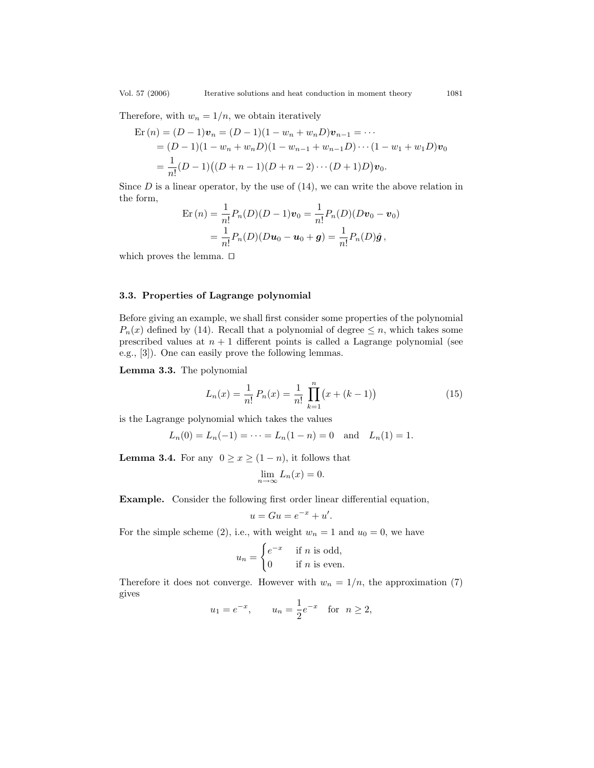Therefore, with  $w_n = 1/n$ , we obtain iteratively

$$
\begin{aligned} \n\text{Er}\,(n) &= (D-1)\mathbf{v}_n = (D-1)(1-w_n+w_nD)\mathbf{v}_{n-1} = \cdots \\ \n&= (D-1)(1-w_n+w_nD)(1-w_{n-1}+w_{n-1}D)\cdots(1-w_1+w_1D)\mathbf{v}_0 \\ \n&= \frac{1}{n!}(D-1)\big((D+n-1)(D+n-2)\cdots(D+1)D\big)\mathbf{v}_0. \n\end{aligned}
$$

Since  $D$  is a linear operator, by the use of  $(14)$ , we can write the above relation in the form,

$$
\begin{aligned} \text{Er}\,(n) &= \frac{1}{n!} P_n(D)(D-1)\boldsymbol{v}_0 = \frac{1}{n!} P_n(D)(D\boldsymbol{v}_0 - \boldsymbol{v}_0) \\ &= \frac{1}{n!} P_n(D)(D\boldsymbol{u}_0 - \boldsymbol{u}_0 + \boldsymbol{g}) = \frac{1}{n!} P_n(D)\hat{\boldsymbol{g}} \,, \end{aligned}
$$

which proves the lemma.  $\square$ 

## **3.3. Properties of Lagrange polynomial**

Before giving an example, we shall first consider some properties of the polynomial  $P_n(x)$  defined by (14). Recall that a polynomial of degree  $\leq n$ , which takes some prescribed values at  $n + 1$  different points is called a Lagrange polynomial (see e.g., [3]). One can easily prove the following lemmas.

**Lemma 3.3.** The polynomial

$$
L_n(x) = \frac{1}{n!} P_n(x) = \frac{1}{n!} \prod_{k=1}^n (x + (k-1))
$$
 (15)

is the Lagrange polynomial which takes the values

$$
L_n(0) = L_n(-1) = \cdots = L_n(1 - n) = 0
$$
 and  $L_n(1) = 1$ .

**Lemma 3.4.** For any  $0 \ge x \ge (1 - n)$ , it follows that

$$
\lim_{n \to \infty} L_n(x) = 0.
$$

**Example.** Consider the following first order linear differential equation,

$$
u = Gu = e^{-x} + u'.
$$

For the simple scheme (2), i.e., with weight  $w_n = 1$  and  $u_0 = 0$ , we have

$$
u_n = \begin{cases} e^{-x} & \text{if } n \text{ is odd,} \\ 0 & \text{if } n \text{ is even.} \end{cases}
$$

Therefore it does not converge. However with  $w_n = 1/n$ , the approximation (7) gives

$$
u_1 = e^{-x}
$$
,  $u_n = \frac{1}{2}e^{-x}$  for  $n \ge 2$ ,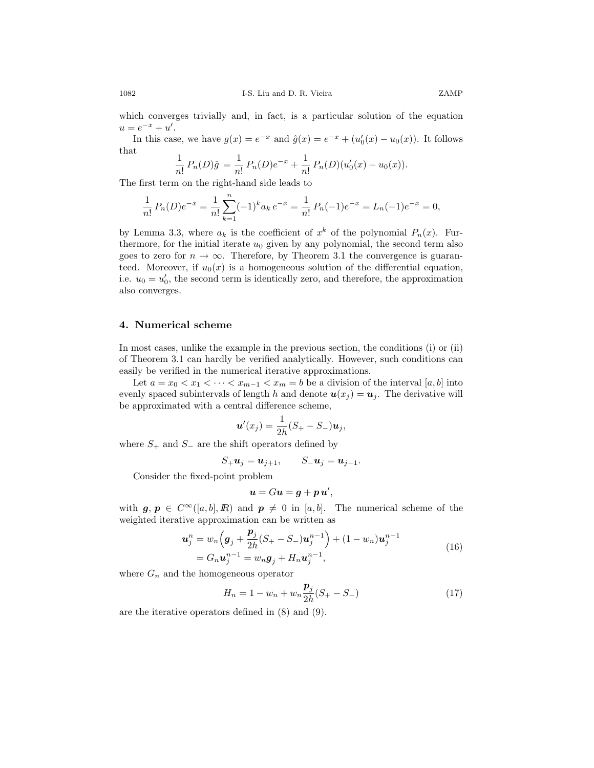which converges trivially and, in fact, is a particular solution of the equation  $u = e^{-x} + u'.$ 

In this case, we have  $g(x) = e^{-x}$  and  $\hat{g}(x) = e^{-x} + (u'_0(x) - u_0(x))$ . It follows that

$$
\frac{1}{n!} P_n(D)\hat{g} = \frac{1}{n!} P_n(D)e^{-x} + \frac{1}{n!} P_n(D)(u'_0(x) - u_0(x)).
$$

The first term on the right-hand side leads to

$$
\frac{1}{n!}P_n(D)e^{-x} = \frac{1}{n!} \sum_{k=1}^n (-1)^k a_k e^{-x} = \frac{1}{n!}P_n(-1)e^{-x} = L_n(-1)e^{-x} = 0,
$$

by Lemma 3.3, where  $a_k$  is the coefficient of  $x^k$  of the polynomial  $P_n(x)$ . Furthermore, for the initial iterate  $u_0$  given by any polynomial, the second term also goes to zero for  $n \to \infty$ . Therefore, by Theorem 3.1 the convergence is guaranteed. Moreover, if  $u_0(x)$  is a homogeneous solution of the differential equation, i.e.  $u_0 = u'_0$ , the second term is identically zero, and therefore, the approximation also converges.

# **4. Numerical scheme**

In most cases, unlike the example in the previous section, the conditions (i) or (ii) of Theorem 3.1 can hardly be verified analytically. However, such conditions can easily be verified in the numerical iterative approximations.

Let  $a = x_0 < x_1 < \cdots < x_{m-1} < x_m = b$  be a division of the interval  $[a, b]$  into evenly spaced subintervals of length h and denote  $u(x_j) = u_j$ . The derivative will be approximated with a central difference scheme,

$$
\boldsymbol{u}'(x_j) = \frac{1}{2h}(S_+ - S_-)\boldsymbol{u}_j,
$$

where  $S_+$  and  $S_-$  are the shift operators defined by

$$
S_+\boldsymbol{u}_j=\boldsymbol{u}_{j+1},\qquad S_-\boldsymbol{u}_j=\boldsymbol{u}_{j-1}.
$$

Consider the fixed-point problem

$$
\boldsymbol{u}=G\boldsymbol{u}=\boldsymbol{g}+\boldsymbol{p}\,\boldsymbol{u}',
$$

with  $g, p \in C^{\infty}([a, b], I\!\!R)$  and  $p \neq 0$  in [a, b]. The numerical scheme of the weighted iterative approximation can be written as weighted iterative approximation can be written as

$$
\mathbf{u}_{j}^{n} = w_{n} \left( \mathbf{g}_{j} + \frac{\mathbf{p}_{j}}{2h} (S_{+} - S_{-}) \mathbf{u}_{j}^{n-1} \right) + (1 - w_{n}) \mathbf{u}_{j}^{n-1}
$$
\n
$$
= G_{n} \mathbf{u}_{j}^{n-1} = w_{n} \mathbf{g}_{j} + H_{n} \mathbf{u}_{j}^{n-1}, \qquad (16)
$$

where  $G_n$  and the homogeneous operator

$$
H_n = 1 - w_n + w_n \frac{p_j}{2h} (S_+ - S_-)
$$
\n(17)

are the iterative operators defined in (8) and (9).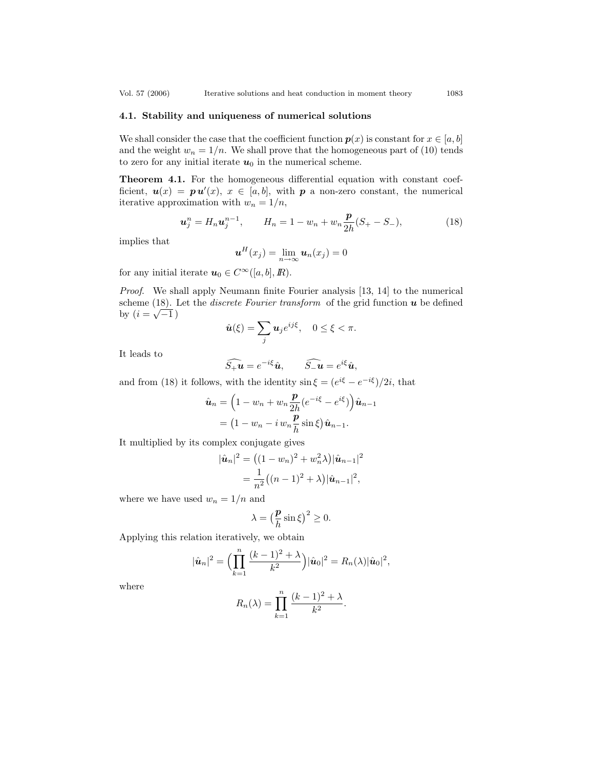#### **4.1. Stability and uniqueness of numerical solutions**

We shall consider the case that the coefficient function  $p(x)$  is constant for  $x \in [a, b]$ and the weight  $w_n = 1/n$ . We shall prove that the homogeneous part of (10) tends to zero for any initial iterate  $u_0$  in the numerical scheme.

**Theorem 4.1.** For the homogeneous differential equation with constant coefficient,  $u(x) = p u'(x), x \in [a, b]$ , with *p* a non-zero constant, the numerical iterative approximation with  $w = 1/n$ iterative approximation with  $w_n = 1/n$ ,

$$
\boldsymbol{u}_j^n = H_n \boldsymbol{u}_j^{n-1}, \qquad H_n = 1 - w_n + w_n \frac{\boldsymbol{p}}{2h} (S_+ - S_-), \tag{18}
$$

implies that

$$
\boldsymbol{u}^H(x_j) = \lim_{n \to \infty} \boldsymbol{u}_n(x_j) = 0
$$

for any initial iterate  $u_0 \in C^{\infty}([a, b], \mathbb{R})$ .

*Proof*. We shall apply Neumann finite Fourier analysis [13, 14] to the numerical scheme (18). Let the *discrete Fourier transform* of the grid function *u* be defined by  $(i = \sqrt{-1})$ 

$$
\hat{u}(\xi) = \sum_j u_j e^{ij\xi}, \quad 0 \le \xi < \pi.
$$

It leads to

$$
\widehat{S_+ u} = e^{-i\xi} \hat{u}, \qquad \widehat{S_- u} = e^{i\xi} \hat{u},
$$

and from (18) it follows, with the identity  $\sin \xi = (e^{i\xi} - e^{-i\xi})/2i$ , that

$$
\hat{\boldsymbol{u}}_n = \left(1 - w_n + w_n \frac{\boldsymbol{p}}{2h} (e^{-i\xi} - e^{i\xi})\right) \hat{\boldsymbol{u}}_{n-1}
$$

$$
= \left(1 - w_n - i w_n \frac{\boldsymbol{p}}{h} \sin \xi\right) \hat{\boldsymbol{u}}_{n-1}.
$$

It multiplied by its complex conjugate gives

$$
|\hat{\mathbf{u}}_n|^2 = ((1 - w_n)^2 + w_n^2 \lambda) |\hat{\mathbf{u}}_{n-1}|^2
$$
  
= 
$$
\frac{1}{n^2} ((n - 1)^2 + \lambda) |\hat{\mathbf{u}}_{n-1}|^2,
$$

where we have used  $w_n = 1/n$  and

$$
\lambda = \left(\frac{\mathbf{p}}{h}\sin\xi\right)^2 \ge 0.
$$

Applying this relation iteratively, we obtain

$$
|\hat{\bm{u}}_n|^2 = \Big(\prod_{k=1}^n \frac{(k-1)^2 + \lambda}{k^2}\Big)|\hat{\bm{u}}_0|^2 = R_n(\lambda)|\hat{\bm{u}}_0|^2,
$$

where

$$
R_n(\lambda) = \prod_{k=1}^n \frac{(k-1)^2 + \lambda}{k^2}.
$$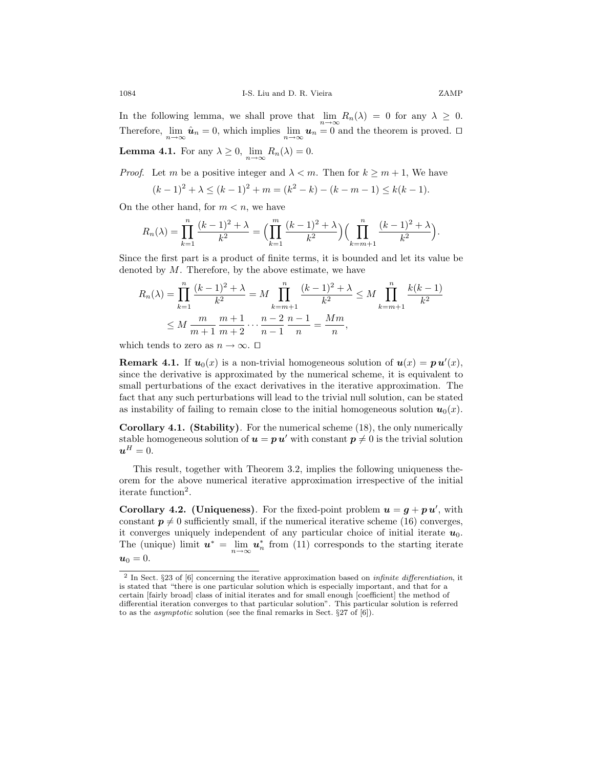In the following lemma, we shall prove that  $\lim_{n\to\infty} R_n(\lambda) = 0$  for any  $\lambda \geq 0$ . Therefore,  $\lim_{n\to\infty} \hat{u}_n = 0$ , which implies  $\lim_{n\to\infty} u_n = 0$  and the theorem is proved.  $\Box$ **Lemma 4.1.** For any  $\lambda \geq 0$ ,  $\lim_{n \to \infty} R_n(\lambda) = 0$ .

*Proof.* Let m be a positive integer and  $\lambda < m$ . Then for  $k \ge m + 1$ , We have

$$
(k-1)^2 + \lambda \le (k-1)^2 + m = (k^2 - k) - (k - m - 1) \le k(k-1).
$$

On the other hand, for  $m < n$ , we have

$$
R_n(\lambda) = \prod_{k=1}^n \frac{(k-1)^2 + \lambda}{k^2} = \Big(\prod_{k=1}^m \frac{(k-1)^2 + \lambda}{k^2}\Big) \Big(\prod_{k=m+1}^n \frac{(k-1)^2 + \lambda}{k^2}\Big).
$$

Since the first part is a product of finite terms, it is bounded and let its value be denoted by  $M$ . Therefore, by the above estimate, we have

$$
R_n(\lambda) = \prod_{k=1}^n \frac{(k-1)^2 + \lambda}{k^2} = M \prod_{k=m+1}^n \frac{(k-1)^2 + \lambda}{k^2} \le M \prod_{k=m+1}^n \frac{k(k-1)}{k^2}
$$
  

$$
\le M \frac{m}{m+1} \frac{m+1}{m+2} \cdots \frac{n-2}{n-1} \frac{n-1}{n} = \frac{Mm}{n},
$$

which tends to zero as  $n \to \infty$ .  $\square$ 

**Remark 4.1.** If  $u_0(x)$  is a non-trivial homogeneous solution of  $u(x) = pu'(x)$ , since the derivative is approximated by the numerical scheme, it is equivalent to since the derivative is approximated by the numerical scheme, it is equivalent to small perturbations of the exact derivatives in the iterative approximation. The fact that any such perturbations will lead to the trivial null solution, can be stated as instability of failing to remain close to the initial homogeneous solution  $u_0(x)$ .

**Corollary 4.1. (Stability)***.* For the numerical scheme (18), the only numerically stable homogeneous solution of  $u = p u'$  with constant  $p \neq 0$  is the trivial solution  $u^H = 0.$ 

This result, together with Theorem 3.2, implies the following uniqueness theorem for the above numerical iterative approximation irrespective of the initial iterate function<sup>2</sup>.

**Corollary 4.2. (Uniqueness)***.* For the fixed-point problem  $u = g + p u'$ , with constant  $p \neq 0$  sufficiently small if the numerical iterative scheme (16) converges constant  $p \neq 0$  sufficiently small, if the numerical iterative scheme (16) converges, it converges uniquely independent of any particular choice of initial iterate  $u_0$ . The (unique) limit  $u^* = \lim_{n \to \infty} u_n^*$  from (11) corresponds to the starting iterate  $u_0 = 0.$ 

<sup>2</sup> In Sect. §23 of [6] concerning the iterative approximation based on infinite differentiation, it is stated that "there is one particular solution which is especially important, and that for a certain [fairly broad] class of initial iterates and for small enough [coefficient] the method of differential iteration converges to that particular solution". This particular solution is referred to as the asymptotic solution (see the final remarks in Sect. §27 of [6]).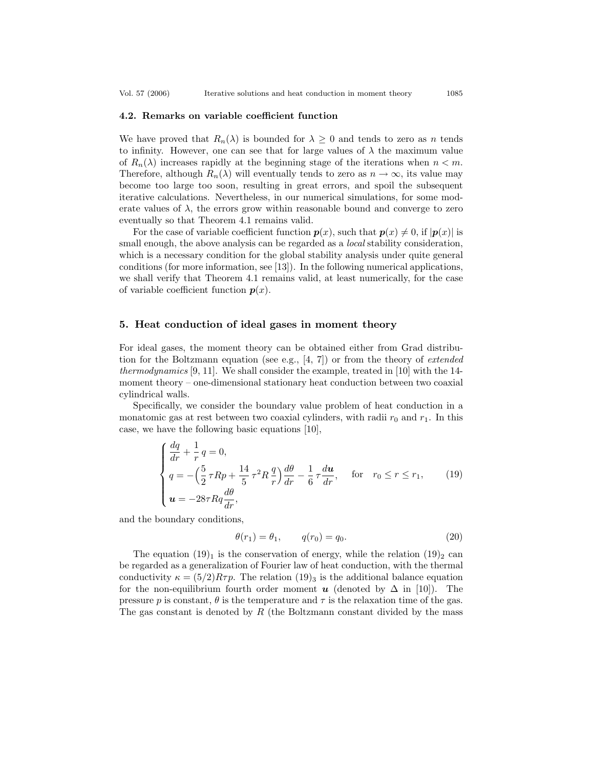#### **4.2. Remarks on variable coefficient function**

We have proved that  $R_n(\lambda)$  is bounded for  $\lambda \geq 0$  and tends to zero as n tends to infinity. However, one can see that for large values of  $\lambda$  the maximum value of  $R_n(\lambda)$  increases rapidly at the beginning stage of the iterations when  $n < m$ . Therefore, although  $R_n(\lambda)$  will eventually tends to zero as  $n \to \infty$ , its value may become too large too soon, resulting in great errors, and spoil the subsequent iterative calculations. Nevertheless, in our numerical simulations, for some moderate values of  $\lambda$ , the errors grow within reasonable bound and converge to zero eventually so that Theorem 4.1 remains valid.

For the case of variable coefficient function  $p(x)$ , such that  $p(x) \neq 0$ , if  $|p(x)|$  is small enough, the above analysis can be regarded as a *local* stability consideration, which is a necessary condition for the global stability analysis under quite general conditions (for more information, see [13]). In the following numerical applications, we shall verify that Theorem 4.1 remains valid, at least numerically, for the case of variable coefficient function  $p(x)$ .

## **5. Heat conduction of ideal gases in moment theory**

For ideal gases, the moment theory can be obtained either from Grad distribution for the Boltzmann equation (see e.g., [4, 7]) or from the theory of *extended thermodynamics* [9, 11]. We shall consider the example, treated in [10] with the 14 moment theory – one-dimensional stationary heat conduction between two coaxial cylindrical walls.

Specifically, we consider the boundary value problem of heat conduction in a monatomic gas at rest between two coaxial cylinders, with radii  $r_0$  and  $r_1$ . In this case, we have the following basic equations [10],

$$
\begin{cases}\n\frac{dq}{dr} + \frac{1}{r}q = 0, \\
q = -\left(\frac{5}{2}\tau Rp + \frac{14}{5}\tau^2 R \frac{q}{r}\right)\frac{d\theta}{dr} - \frac{1}{6}\tau \frac{d\mathbf{u}}{dr}, & \text{for } r_0 \le r \le r_1, \\
\mathbf{u} = -28\tau R q \frac{d\theta}{dr},\n\end{cases}
$$
\n(19)

and the boundary conditions,

$$
\theta(r_1) = \theta_1, \qquad q(r_0) = q_0. \tag{20}
$$

The equation  $(19)_1$  is the conservation of energy, while the relation  $(19)_2$  can be regarded as a generalization of Fourier law of heat conduction, with the thermal conductivity  $\kappa = (5/2)R\tau p$ . The relation  $(19)_3$  is the additional balance equation for the non-equilibrium fourth order moment *u* (denoted by  $\Delta$  in [10]). The pressure p is constant,  $\theta$  is the temperature and  $\tau$  is the relaxation time of the gas. The gas constant is denoted by  $R$  (the Boltzmann constant divided by the mass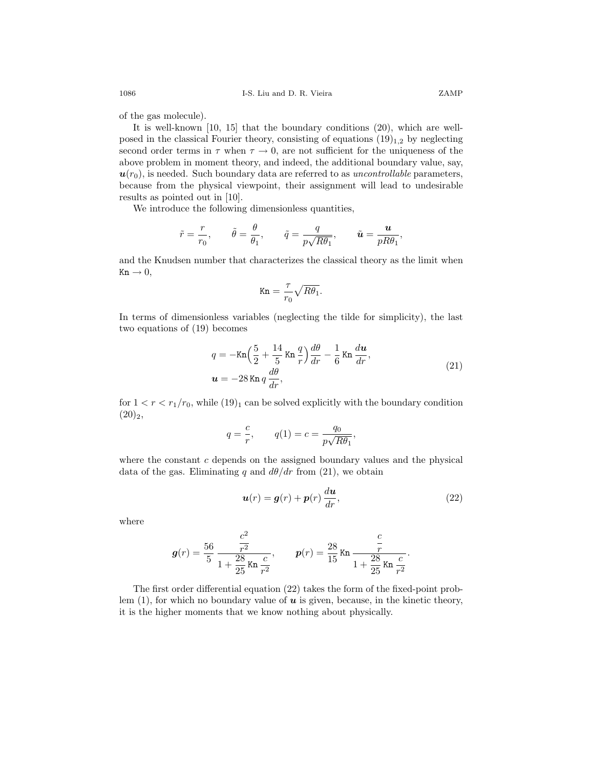of the gas molecule).

It is well-known [10, 15] that the boundary conditions (20), which are wellposed in the classical Fourier theory, consisting of equations  $(19)_{1,2}$  by neglecting second order terms in  $\tau$  when  $\tau \to 0$ , are not sufficient for the uniqueness of the above problem in moment theory, and indeed, the additional boundary value, say,  $u(r_0)$ , is needed. Such boundary data are referred to as *uncontrollable* parameters, because from the physical viewpoint, their assignment will lead to undesirable results as pointed out in [10].

We introduce the following dimensionless quantities,

$$
\tilde{r} = \frac{r}{r_0}, \qquad \tilde{\theta} = \frac{\theta}{\theta_1}, \qquad \tilde{q} = \frac{q}{p\sqrt{R\theta_1}}, \qquad \tilde{u} = \frac{u}{pR\theta_1},
$$

and the Knudsen number that characterizes the classical theory as the limit when  $Kn \to 0$ ,

$$
\text{Kn} = \frac{\tau}{r_0} \sqrt{R\theta_1}.
$$

In terms of dimensionless variables (neglecting the tilde for simplicity), the last two equations of (19) becomes

$$
q = -\text{Kn}\left(\frac{5}{2} + \frac{14}{5}\text{Kn}\,\frac{q}{r}\right)\frac{d\theta}{dr} - \frac{1}{6}\text{Kn}\,\frac{d\mathbf{u}}{dr},
$$
  

$$
\mathbf{u} = -28\text{ Kn}\,q\,\frac{d\theta}{dr},
$$
\n(21)

for  $1 < r < r_1/r_0$ , while  $(19)_1$  can be solved explicitly with the boundary condition  $(20)_2,$ 

$$
q = \frac{c}{r}, \qquad q(1) = c = \frac{q_0}{p\sqrt{R\theta_1}},
$$

where the constant  $c$  depends on the assigned boundary values and the physical data of the gas. Eliminating q and  $d\theta/dr$  from (21), we obtain

$$
\boldsymbol{u}(r) = \boldsymbol{g}(r) + \boldsymbol{p}(r) \frac{d\boldsymbol{u}}{dr},
$$
\n(22)

where

$$
g(r) = \frac{56}{5} \frac{\frac{c^2}{r^2}}{1 + \frac{28}{25} \text{Kn} \frac{c}{r^2}}, \qquad p(r) = \frac{28}{15} \text{Kn} \frac{\frac{c}{r}}{1 + \frac{28}{25} \text{Kn} \frac{c}{r^2}}.
$$

The first order differential equation (22) takes the form of the fixed-point problem  $(1)$ , for which no boundary value of  $\boldsymbol{u}$  is given, because, in the kinetic theory, it is the higher moments that we know nothing about physically.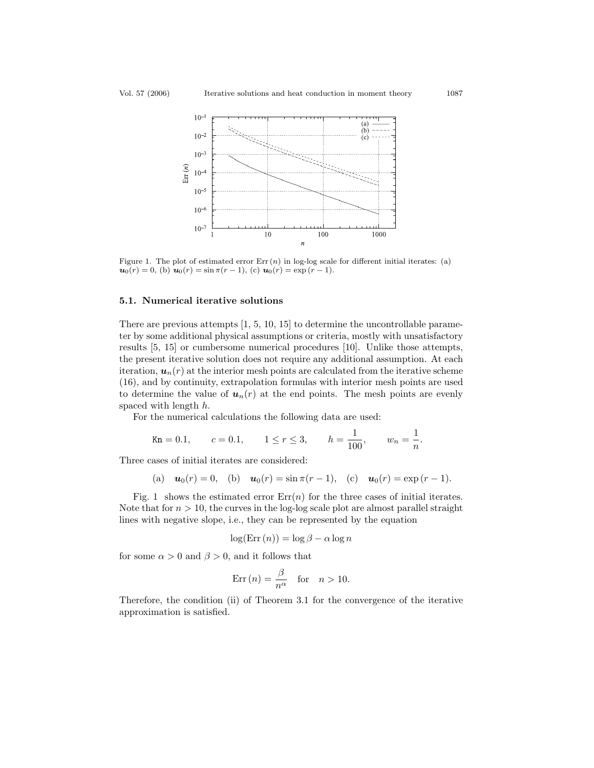

Figure 1. The plot of estimated error  $Err(n)$  in log-log scale for different initial iterates: (a)  $u_0(r) = 0$ , (b)  $u_0(r) = \sin \pi (r - 1)$ , (c)  $u_0(r) = \exp (r - 1)$ .

#### **5.1. Numerical iterative solutions**

There are previous attempts [1, 5, 10, 15] to determine the uncontrollable parameter by some additional physical assumptions or criteria, mostly with unsatisfactory results [5, 15] or cumbersome numerical procedures [10]. Unlike those attempts, the present iterative solution does not require any additional assumption. At each iteration,  $u_n(r)$  at the interior mesh points are calculated from the iterative scheme (16), and by continuity, extrapolation formulas with interior mesh points are used to determine the value of  $u_n(r)$  at the end points. The mesh points are evenly spaced with length h.

For the numerical calculations the following data are used:

$$
\text{Kn} = 0.1, \qquad c = 0.1, \qquad 1 \le r \le 3, \qquad h = \frac{1}{100}, \qquad w_n = \frac{1}{n}.
$$

Three cases of initial iterates are considered:

(a) 
$$
\mathbf{u}_0(r) = 0
$$
, (b)  $\mathbf{u}_0(r) = \sin \pi (r - 1)$ , (c)  $\mathbf{u}_0(r) = \exp (r - 1)$ .

Fig. 1 shows the estimated error  $Err(n)$  for the three cases of initial iterates. Note that for  $n > 10$ , the curves in the log-log scale plot are almost parallel straight lines with negative slope, i.e., they can be represented by the equation

$$
\log(\text{Err}\left(n\right)) = \log \beta - \alpha \log n
$$

for some  $\alpha > 0$  and  $\beta > 0$ , and it follows that

$$
Err(n) = \frac{\beta}{n^{\alpha}} \quad \text{for} \quad n > 10.
$$

Therefore, the condition (ii) of Theorem 3.1 for the convergence of the iterative approximation is satisfied.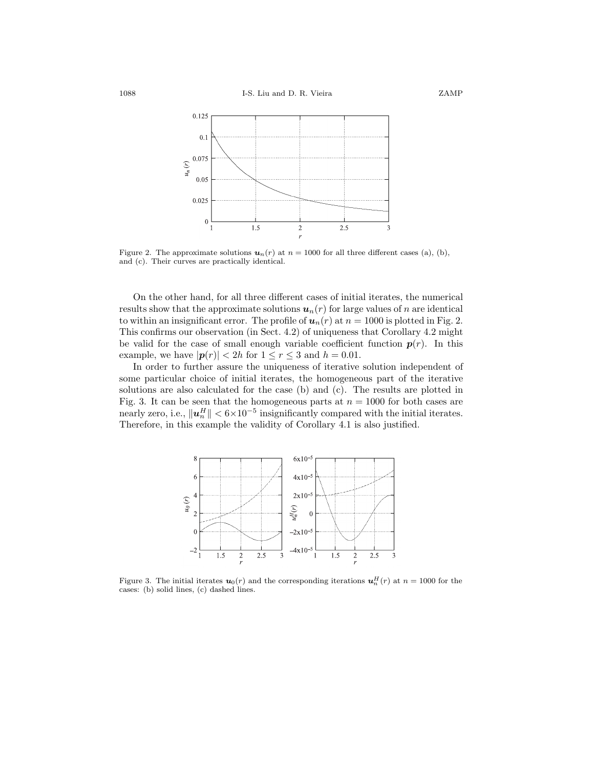

Figure 2. The approximate solutions  $u_n(r)$  at  $n = 1000$  for all three different cases (a), (b), and (c). Their curves are practically identical.

On the other hand, for all three different cases of initial iterates, the numerical results show that the approximate solutions  $u_n(r)$  for large values of n are identical to within an insignificant error. The profile of  $u_n(r)$  at  $n = 1000$  is plotted in Fig. 2. This confirms our observation (in Sect. 4.2) of uniqueness that Corollary 4.2 might be valid for the case of small enough variable coefficient function  $p(r)$ . In this example, we have  $|\mathbf{p}(r)| < 2h$  for  $1 \le r \le 3$  and  $h = 0.01$ .

In order to further assure the uniqueness of iterative solution independent of some particular choice of initial iterates, the homogeneous part of the iterative solutions are also calculated for the case (b) and (c). The results are plotted in Fig. 3. It can be seen that the homogeneous parts at  $n = 1000$  for both cases are nearly zero, i.e.,  $||u_n^H|| < 6 \times 10^{-5}$  insignificantly compared with the initial iterates.<br>Therefore in this example the validity of Corollary 4.1 is also justified Therefore, in this example the validity of Corollary 4.1 is also justified.



Figure 3. The initial iterates  $u_0(r)$  and the corresponding iterations  $u_n^H(r)$  at  $n = 1000$  for the cases: (b) solid lines, (c) dashed lines.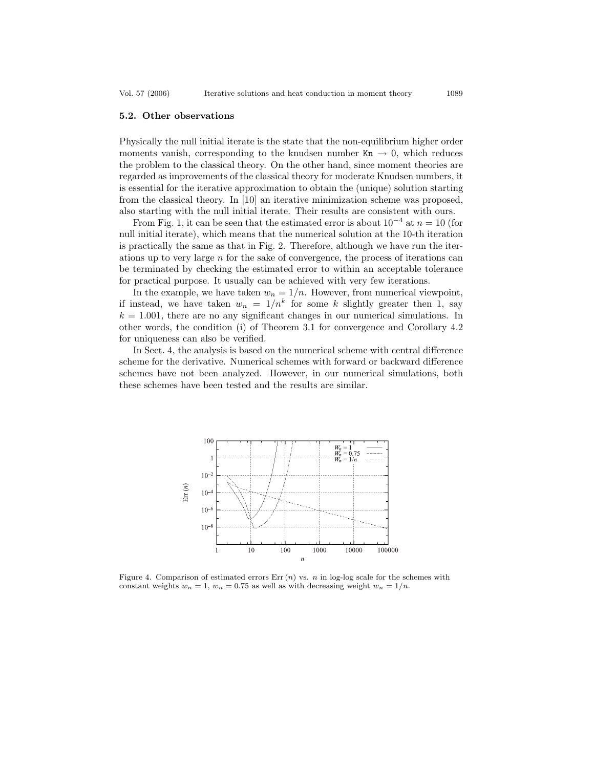#### **5.2. Other observations**

Physically the null initial iterate is the state that the non-equilibrium higher order moments vanish, corresponding to the knudsen number  $Kn \to 0$ , which reduces the problem to the classical theory. On the other hand, since moment theories are regarded as improvements of the classical theory for moderate Knudsen numbers, it is essential for the iterative approximation to obtain the (unique) solution starting from the classical theory. In [10] an iterative minimization scheme was proposed, also starting with the null initial iterate. Their results are consistent with ours.

From Fig. 1, it can be seen that the estimated error is about  $10^{-4}$  at  $n = 10$  (for null initial iterate), which means that the numerical solution at the 10-th iteration is practically the same as that in Fig. 2. Therefore, although we have run the iterations up to very large n for the sake of convergence, the process of iterations can be terminated by checking the estimated error to within an acceptable tolerance for practical purpose. It usually can be achieved with very few iterations.

In the example, we have taken  $w_n = 1/n$ . However, from numerical viewpoint, if instead, we have taken  $w_n = 1/n^k$  for some k slightly greater then 1, say  $k = 1.001$ , there are no any significant changes in our numerical simulations. In other words, the condition (i) of Theorem 3.1 for convergence and Corollary 4.2 for uniqueness can also be verified.

In Sect. 4, the analysis is based on the numerical scheme with central difference scheme for the derivative. Numerical schemes with forward or backward difference schemes have not been analyzed. However, in our numerical simulations, both these schemes have been tested and the results are similar.



Figure 4. Comparison of estimated errors  $Err(n)$  vs. n in log-log scale for the schemes with constant weights  $w_n = 1$ ,  $w_n = 0.75$  as well as with decreasing weight  $w_n = 1/n$ .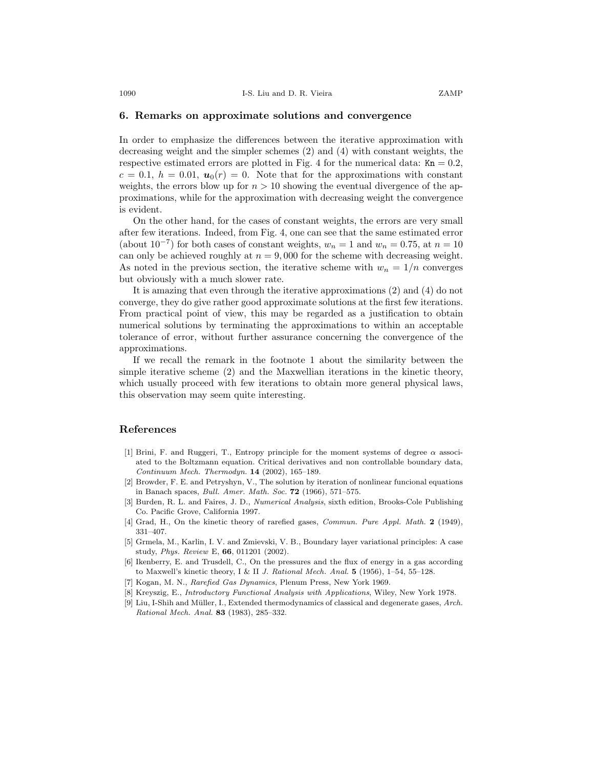#### **6. Remarks on approximate solutions and convergence**

In order to emphasize the differences between the iterative approximation with decreasing weight and the simpler schemes (2) and (4) with constant weights, the respective estimated errors are plotted in Fig. 4 for the numerical data:  $Kn = 0.2$ ,  $c = 0.1, h = 0.01, u_0(r) = 0.$  Note that for the approximations with constant weights, the errors blow up for  $n > 10$  showing the eventual divergence of the approximations, while for the approximation with decreasing weight the convergence is evident.

On the other hand, for the cases of constant weights, the errors are very small after few iterations. Indeed, from Fig. 4, one can see that the same estimated error (about  $10^{-7}$ ) for both cases of constant weights,  $w_n = 1$  and  $w_n = 0.75$ , at  $n = 10$ can only be achieved roughly at  $n = 9,000$  for the scheme with decreasing weight. As noted in the previous section, the iterative scheme with  $w_n = 1/n$  converges but obviously with a much slower rate.

It is amazing that even through the iterative approximations (2) and (4) do not converge, they do give rather good approximate solutions at the first few iterations. From practical point of view, this may be regarded as a justification to obtain numerical solutions by terminating the approximations to within an acceptable tolerance of error, without further assurance concerning the convergence of the approximations.

If we recall the remark in the footnote 1 about the similarity between the simple iterative scheme (2) and the Maxwellian iterations in the kinetic theory, which usually proceed with few iterations to obtain more general physical laws, this observation may seem quite interesting.

#### **References**

- [1] Brini, F. and Ruggeri, T., Entropy principle for the moment systems of degree  $\alpha$  associated to the Boltzmann equation. Critical derivatives and non controllable boundary data, Continuum Mech. Thermodyn. **14** (2002), 165–189.
- [2] Browder, F. E. and Petryshyn, V., The solution by iteration of nonlinear funcional equations in Banach spaces, Bull. Amer. Math. Soc. **72** (1966), 571–575.
- [3] Burden, R. L. and Faires, J. D., *Numerical Analysis*, sixth edition, Brooks-Cole Publishing Co. Pacific Grove, California 1997.
- [4] Grad, H., On the kinetic theory of rarefied gases, Commun. Pure Appl. Math. **2** (1949), 331–407.
- [5] Grmela, M., Karlin, I. V. and Zmievski, V. B., Boundary layer variational principles: A case study, Phys. Review E, **66**, 011201 (2002).
- [6] Ikenberry, E. and Trusdell, C., On the pressures and the flux of energy in a gas according to Maxwell's kinetic theory, I & II J. Rational Mech. Anal. **5** (1956), 1–54, 55–128.
- [7] Kogan, M. N., Rarefied Gas Dynamics, Plenum Press, New York 1969.
- [8] Kreyszig, E., Introductory Functional Analysis with Applications, Wiley, New York 1978.
- [9] Liu, I-Shih and Müller, I., Extended thermodynamics of classical and degenerate gases, Arch. Rational Mech. Anal. **83** (1983), 285–332.